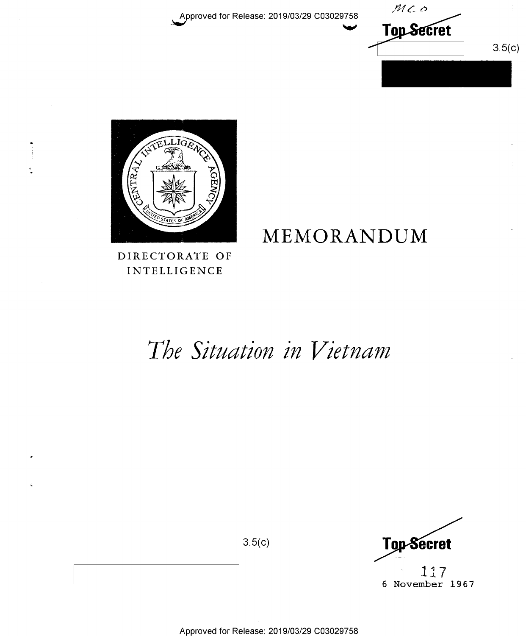$MC$ o **Top Secret**  $3.5(c)$ 



# MEMORANDUM

DIRECTORATE OF **INTELLIGENCE** 

# The Situation in Vietnam

Top-Secret 117

 $3.5(c)$ 

6 November 1967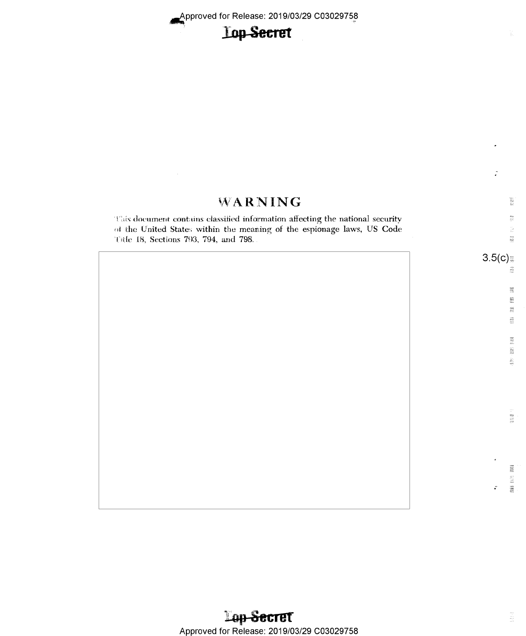# **Lop-Secret**

# WARNING

This document contains classified information affecting the national security of the United States within the meaning of the espionage laws, US Code Title 18, Sections 793, 794, and 798.

 $\frac{4\pi}{3}$  $\frac{27}{62}$ 

 $\frac{22}{16}$ 蠶 ģ.

Ĵ.

歌材

 $\frac{8\pi}{3}$ 

ita.<br>Na 菜

調<br>18%  $\tilde{\vec{r}}$ 

 $\begin{array}{l} \mathbb{R} \mathfrak{g} \\ \mathbb{L} \mathbb{S} \\ \mathbb{R} \mathbb{S} \\ \mathbb{R} \mathbb{S} \end{array}$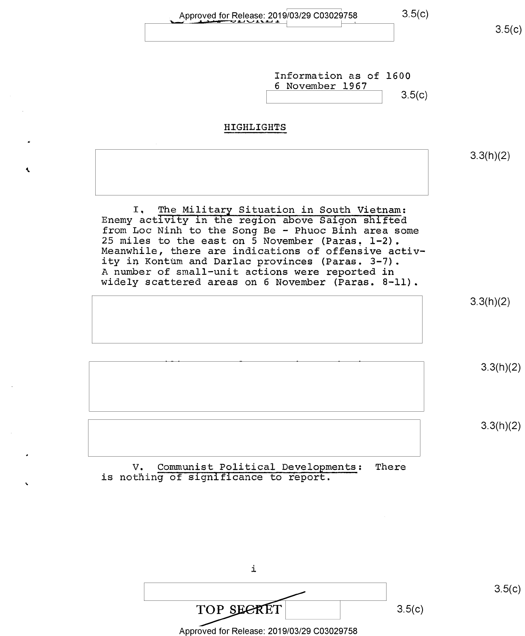Information as of 1600 <sup>6</sup>November l967  $3.5(c)$ HIGHLIGHTS I. The Military Situation in South Vietnam: Enemy activity in the region above Saigon shifted from Loc Ninh to the Song Be - Phuoc Binh area some 25 miles to the east on 5 November (Paras,  $1-2$ ). Meanwhile, there are indications of offensive activ-<br>ity in Kontum and Darlac provinces (Paras. 3-7). A number of small-unit actions were reported in widely scattered areas on 6 November (Paras. 8-11). V. Communist Political Developments: There is nothing of significance to report.  $3.5(c)$ 3.3(h)(2) 3.3(h)(2) 3.3(h)(2) 3.3(h)(2)

> i i i/"' i  $TOP$  SECRET 3.5(c)

 $3.5(c)$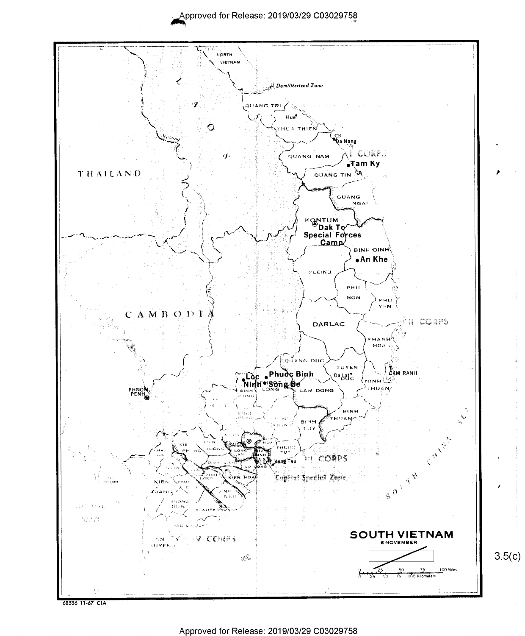

Approved for Release: 2019/03/29 C03029758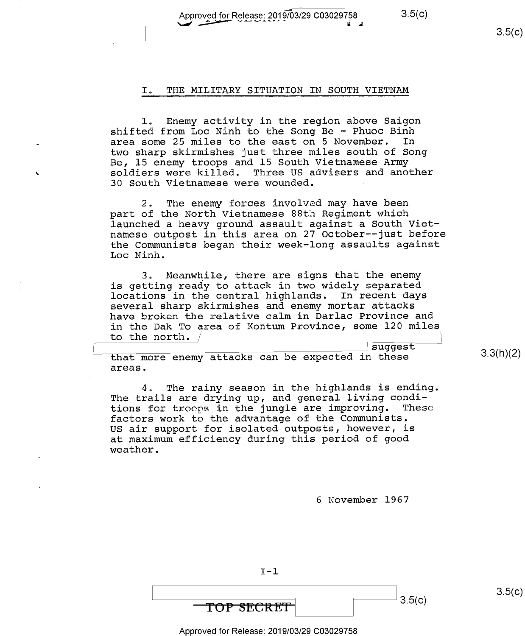Approved for Release: 2019/03/29 C03029758. 3.5(C)

#### $3.5(c)$

## I. THE MILITARY SITUATION IN SOUTH VIETNAM

1. Enemy activity in the region above Saigon shifted from Loc Ninh to the Song Be - Phuoc Binh<br>area some 25 miles to the east on 5 November. In area some 25 miles to the east on 5 November. two sharp skirmishes just three miles south of Song Be, 15 enemy troops and l5 South Vietnamese Army soldiers were killed. Three US advisers and another 30 South Vietnamese were wounded. <sup>I</sup>

 $2.$  The enemy forces involved may have been part of the North Vietnamese 88th Regiment which launched a heavy ground assault against a South Viet- namese outpost in this area on 27 October--just before the Communists began their week—long assaults against Loc Ninh

3. Meanwhile, there are signs that the enemy is getting ready to attack in two widely separated locations in the central highlands. In recent days several sharp skirmishes and enemy mortar attacks have broken the relative calm in Darlac Province and in the Dak To area of Kontum Province, some  $120$  miles to the north.

suggest that more enemy attacks can be expected in these areas.

4. The rainy season in the highlands is ending. The trails are drying up, and general living condi-<br>tions for trocps in the jungle are improving. These tions for troops in the jungle are improving. factors work to the advantage of the Communists. US air support for isolated outposts, however, is at maximum efficiency during this period of good weather.

6 November 1967

\ 3'5")

 $3.5(c)$ 

3.3(h)(2)

Approved for Release: 2019/03/29 C03029758

 $I - 1$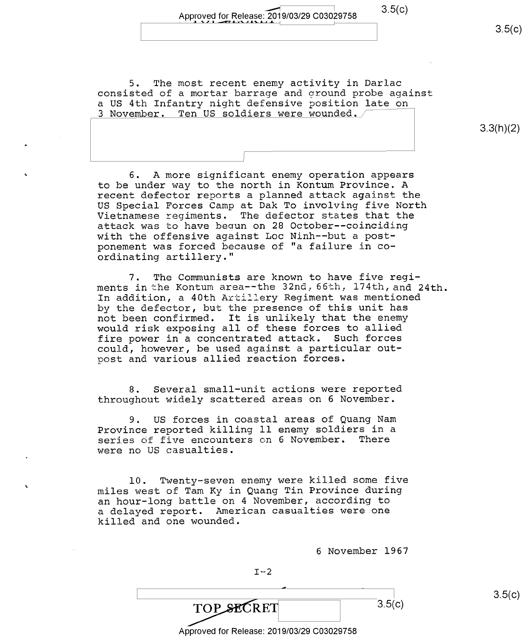5. The most recent enemy activity in Darlac consisted of a mortar barrage and ground probe against a US 4th Infantry night defensive position late on 3 November. Ten US soldiers were wounded.  $/$ 

3.3(h)(2)

 $3.5(c)$ 

6. A more significant enemy operation appears to be under way to the north in Kontum Province. A recent defector reports a planned attack against the US Special Forces Camp at Dak To involving five North Vietnamese regiments. The defector states that the attack was to have begun on 28 October-—coinciding with the offensive against Loc Ninh—-but a postponement was forced because of "a failure in coordinating artillery."

I

7. The Communists are known to have five regiments in the Kontum area--the 32nd, 66th, 174th, and 24th. In addition, a 40th Artillery Regiment was mentioned by the defector, but the presence of this unit has not been confirmed. It is unlikely that the enemy would risk exposing all of these forces to allied fire power in a concentrated attack. Such forces could, however, be used against a particular outpost and various allied reaction forces.

8. Several smal1—unit actions were reported throughout widely scattered areas on 6 November.

9. US forces in coastal areas of Quang Nam Province reported killing ll enemy soldiers in a series of five encounters on 6 November. There were no US casualties.

10. Twenty—seven enemy were killed some five miles west of Tam Ky in Quang Tin Province during an hour—long battle on 4 November, according to a delayed report. American casualties were one killed and one wounded.

<sup>6</sup>November 1967

4  $3.5(c)$ **TOP SECRET** Approved for Release: 2019/03/29 C03029758

 $I - 2$ 

 $3.5(c)$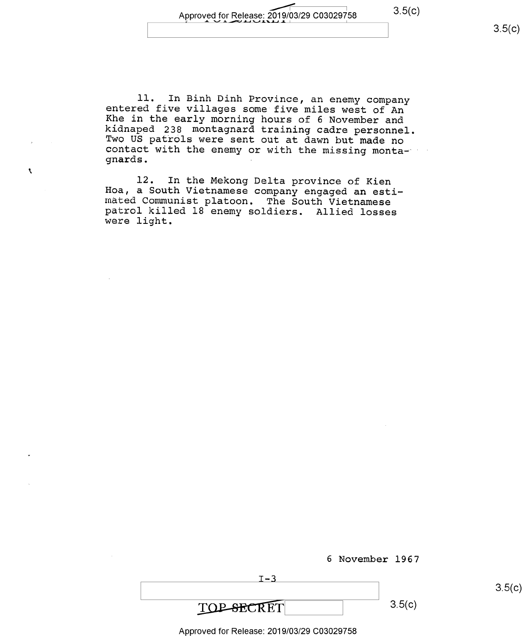$3.5(c)$ 

 $3.5(c)$ 

11. In Binh Dinh Province, an enemy company<br>entered five villages some five miles west of An<br>Khe in the early morning hours of 6 November and<br>kidnaped 238 montagnard training cadre personnel.<br>Two US patrols were sent out a

l2. In the Mekong Delta province of Kien Hoa, a South Vietnamese company engaged an esti— mated Communist platoon. The South Vietnamese patrol killed l8 enemy soldiers. Allied losses were light.

 $\bar{\mathbf{X}}$ 

| <b>TOP-SECRET</b> | 3.5(c) |
|-------------------|--------|

<sup>6</sup>November 1967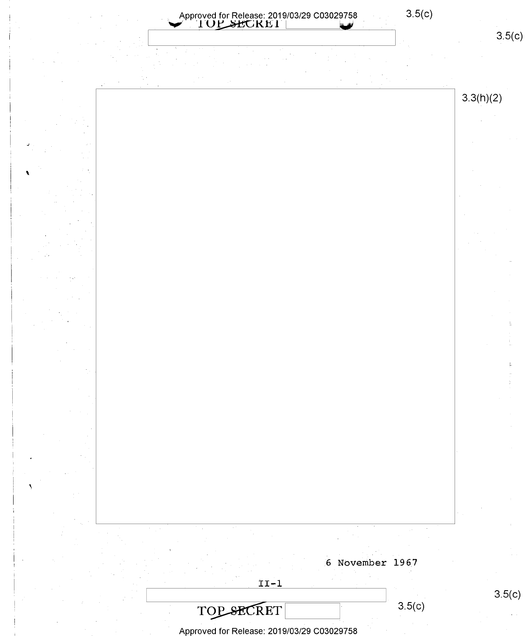$3.5(c)$ Approved for Release: 2019/03/29 C03029758



 $3.3(h)(2)$ 



 $3.5(c)$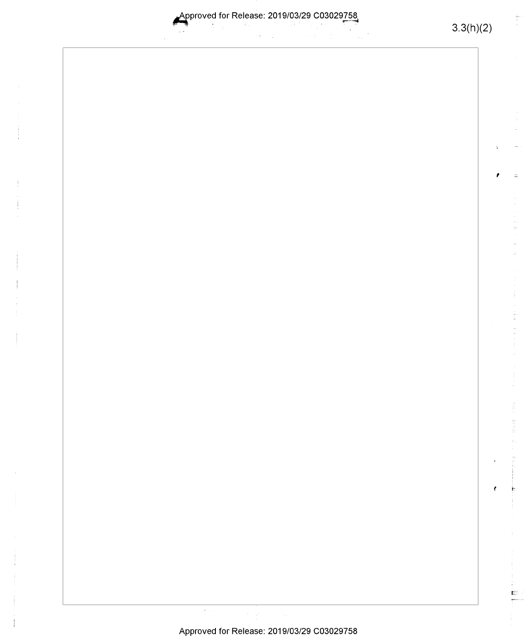Approved for Release: 2019/03/29 C03029758  $\sim$   $\sim$ ÷  $\sim$   $\sim$ 

 $3.3(h)(2)$ 

 $\frac{1}{100}$ 

f.

÷  $\frac{1}{\sqrt{2}}\sum_{i=1}^{n}$ 

### Approved for Release: 2019/03/29 C03029758

 $\epsilon$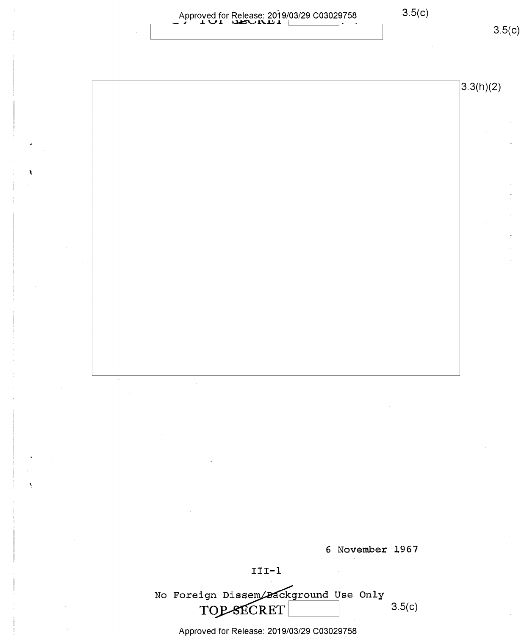|                                                                                                                                                                                                                                                                                                                                                                                                                                                                                                                                            | 3.3(h)(2)                                                                                                                                                                        |
|--------------------------------------------------------------------------------------------------------------------------------------------------------------------------------------------------------------------------------------------------------------------------------------------------------------------------------------------------------------------------------------------------------------------------------------------------------------------------------------------------------------------------------------------|----------------------------------------------------------------------------------------------------------------------------------------------------------------------------------|
|                                                                                                                                                                                                                                                                                                                                                                                                                                                                                                                                            |                                                                                                                                                                                  |
|                                                                                                                                                                                                                                                                                                                                                                                                                                                                                                                                            |                                                                                                                                                                                  |
|                                                                                                                                                                                                                                                                                                                                                                                                                                                                                                                                            |                                                                                                                                                                                  |
|                                                                                                                                                                                                                                                                                                                                                                                                                                                                                                                                            |                                                                                                                                                                                  |
|                                                                                                                                                                                                                                                                                                                                                                                                                                                                                                                                            |                                                                                                                                                                                  |
|                                                                                                                                                                                                                                                                                                                                                                                                                                                                                                                                            |                                                                                                                                                                                  |
|                                                                                                                                                                                                                                                                                                                                                                                                                                                                                                                                            |                                                                                                                                                                                  |
|                                                                                                                                                                                                                                                                                                                                                                                                                                                                                                                                            |                                                                                                                                                                                  |
|                                                                                                                                                                                                                                                                                                                                                                                                                                                                                                                                            |                                                                                                                                                                                  |
| $\alpha$ and $\beta$ .                                                                                                                                                                                                                                                                                                                                                                                                                                                                                                                     |                                                                                                                                                                                  |
| $\mathcal{O}(\mathcal{O}(\log n))$                                                                                                                                                                                                                                                                                                                                                                                                                                                                                                         | $\mathcal{L}(\mathcal{L}^{\mathcal{L}})$ and $\mathcal{L}^{\mathcal{L}}$ are the set of the set of $\mathcal{L}^{\mathcal{L}}$                                                   |
| $\mathcal{L}(\mathcal{L}(\mathcal{L}))$ and $\mathcal{L}(\mathcal{L}(\mathcal{L}))$ and $\mathcal{L}(\mathcal{L}(\mathcal{L}))$ . Then the contribution of $\mathcal{L}(\mathcal{L})$                                                                                                                                                                                                                                                                                                                                                      | $\label{eq:2.1} \mathcal{L}_{\mathcal{A}}(\mathcal{A}) = \mathcal{L}_{\mathcal{A}}(\mathcal{A}) \mathcal{L}_{\mathcal{A}}(\mathcal{A}) = \mathcal{L}_{\mathcal{A}}(\mathcal{A})$ |
| $\mathcal{L}(\mathcal{L})$ and $\mathcal{L}(\mathcal{L})$ and $\mathcal{L}(\mathcal{L})$ are the subset of the set of the set of $\mathcal{L}(\mathcal{L})$<br>$\label{eq:2.1} \mathcal{L}(\mathcal{A}) = \mathcal{L}(\mathcal{A}) = \mathcal{L}(\mathcal{A}) = \mathcal{L}(\mathcal{A}) = \mathcal{L}(\mathcal{A})$                                                                                                                                                                                                                       | $\mathcal{L}_{\mathcal{C}}$                                                                                                                                                      |
| $\label{eq:2.1} \mathcal{L}(\mathcal{L}) = \mathcal{L}(\mathcal{L}) \mathcal{L}(\mathcal{L}) = \mathcal{L}(\mathcal{L}) \mathcal{L}(\mathcal{L}) \mathcal{L}(\mathcal{L})$<br>$\label{eq:2.1} \frac{1}{2} \sum_{i=1}^n \frac{1}{2} \sum_{j=1}^n \frac{1}{2} \sum_{j=1}^n \frac{1}{2} \sum_{j=1}^n \frac{1}{2} \sum_{j=1}^n \frac{1}{2} \sum_{j=1}^n \frac{1}{2} \sum_{j=1}^n \frac{1}{2} \sum_{j=1}^n \frac{1}{2} \sum_{j=1}^n \frac{1}{2} \sum_{j=1}^n \frac{1}{2} \sum_{j=1}^n \frac{1}{2} \sum_{j=1}^n \frac{1}{2} \sum_{j=1}^n \frac{$ |                                                                                                                                                                                  |

6 November 1967

 $\cdot$  III-1

No Foreign Dissem Background Use Only<br>
TOP SHORET 3.5(c) TOP-SECRET

Approved for Release: 2019/03/29 C03029758

 $\overline{\phantom{a}}$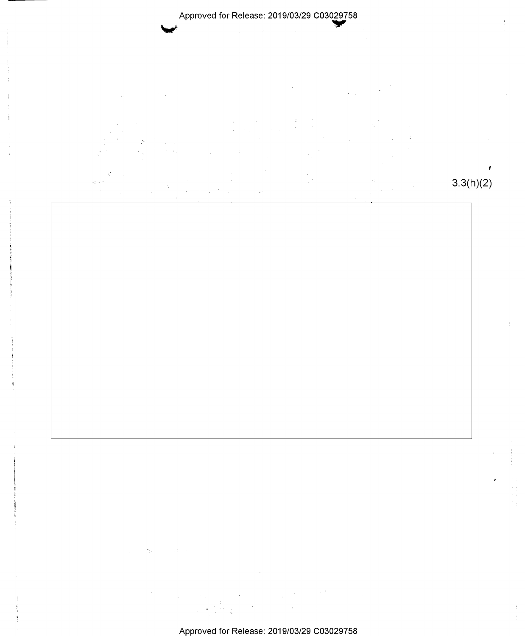$\mathcal{I}^{\mathcal{I}}$  ,  $\mathcal{J}^{\mathcal{I}}_i$ 

 $\phi^{\rm sc}_{\rm in} \sim 0.5$  $\hat{\psi}$  3.3(h)(2)

 $\frac{1}{2}$ 

Approved for Release: 2019/03/29 C03029758

 $\sim 30$ 

 $\mathcal{L}_{\text{max}} = 1.3$ 

 $\sim 10^{-10}$  $\pm \, \sigma$   $\mathcal{L}(\mathcal{F})$  ,  $\mathcal{L}$ 

 $\omega_{\rm{eq}}$  .

 $\frac{1}{2}$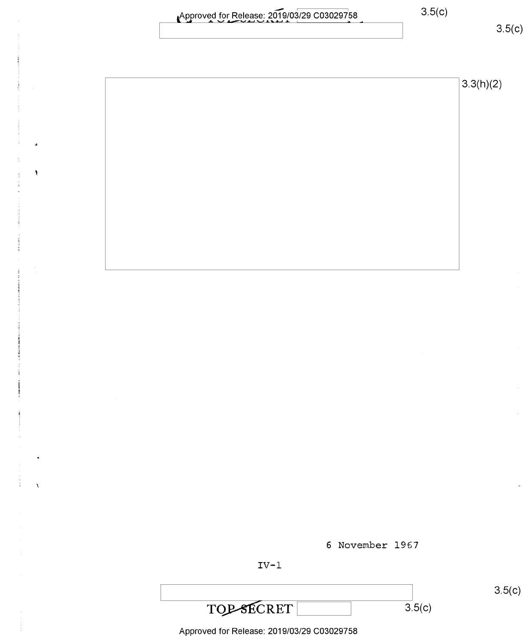| Approved for Release: 2019/03/29 C03029758 |  |
|--------------------------------------------|--|
|                                            |  |

 $\overline{1}$ 

 $\pmb{\mathcal{S}}$ 

 $\bar{\chi}$ 

 $3.5(c)$ 

 $3.3(h)(2)$ 



 $\overline{3.5}$ (c)



**TOP-SECRET**